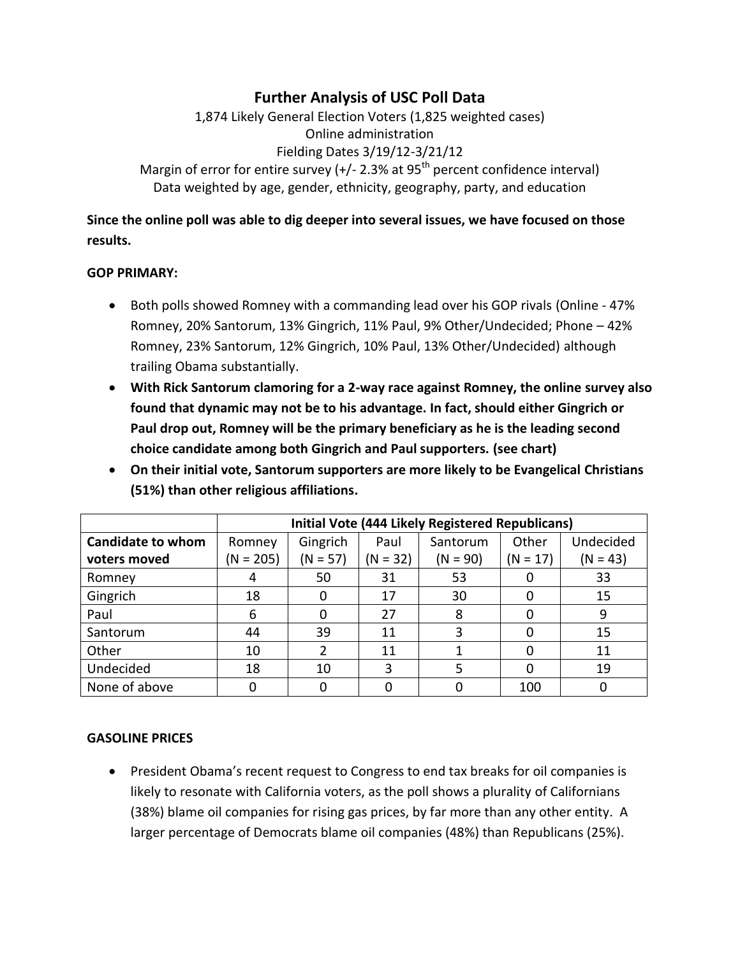# **Further Analysis of USC Poll Data**

1,874 Likely General Election Voters (1,825 weighted cases) Online administration Fielding Dates 3/19/12-3/21/12 Margin of error for entire survey (+/- 2.3% at  $95<sup>th</sup>$  percent confidence interval) Data weighted by age, gender, ethnicity, geography, party, and education

**Since the online poll was able to dig deeper into several issues, we have focused on those results.** 

#### **GOP PRIMARY:**

- Both polls showed Romney with a commanding lead over his GOP rivals (Online 47% Romney, 20% Santorum, 13% Gingrich, 11% Paul, 9% Other/Undecided; Phone – 42% Romney, 23% Santorum, 12% Gingrich, 10% Paul, 13% Other/Undecided) although trailing Obama substantially.
- **With Rick Santorum clamoring for a 2-way race against Romney, the online survey also found that dynamic may not be to his advantage. In fact, should either Gingrich or Paul drop out, Romney will be the primary beneficiary as he is the leading second choice candidate among both Gingrich and Paul supporters. (see chart)**
- **On their initial vote, Santorum supporters are more likely to be Evangelical Christians (51%) than other religious affiliations.**

|                          | <b>Initial Vote (444 Likely Registered Republicans)</b> |            |            |            |          |            |  |
|--------------------------|---------------------------------------------------------|------------|------------|------------|----------|------------|--|
| <b>Candidate to whom</b> | Romney                                                  | Gingrich   | Paul       | Santorum   | Other    | Undecided  |  |
| voters moved             | $(N = 205)$                                             | $(N = 57)$ | $(N = 32)$ | $(N = 90)$ | (N = 17) | $(N = 43)$ |  |
| Romney                   | 4                                                       | 50         | 31         | 53         |          | 33         |  |
| Gingrich                 | 18                                                      | 0          | 17         | 30         |          | 15         |  |
| Paul                     | 6                                                       | 0          | 27         | 8          |          | 9          |  |
| Santorum                 | 44                                                      | 39         | 11         | 3          |          | 15         |  |
| Other                    | 10                                                      | 2          | 11         |            |          | 11         |  |
| Undecided                | 18                                                      | 10         | 3          |            |          | 19         |  |
| None of above            | 0                                                       |            |            |            | 100      |            |  |

#### **GASOLINE PRICES**

 President Obama's recent request to Congress to end tax breaks for oil companies is likely to resonate with California voters, as the poll shows a plurality of Californians (38%) blame oil companies for rising gas prices, by far more than any other entity. A larger percentage of Democrats blame oil companies (48%) than Republicans (25%).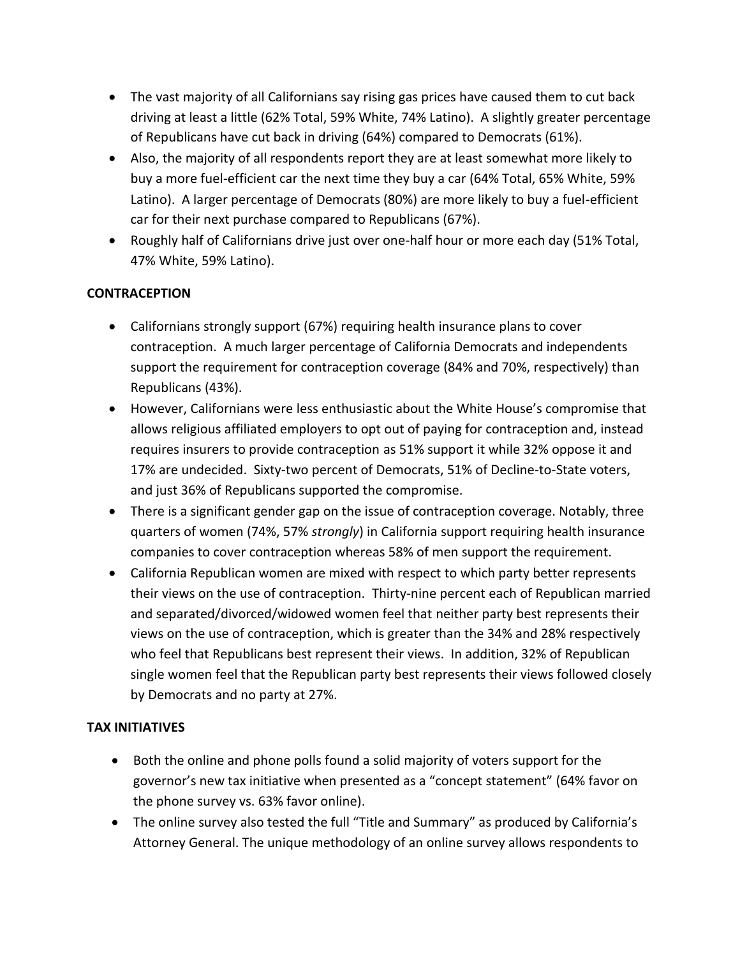- The vast majority of all Californians say rising gas prices have caused them to cut back driving at least a little (62% Total, 59% White, 74% Latino). A slightly greater percentage of Republicans have cut back in driving (64%) compared to Democrats (61%).
- Also, the majority of all respondents report they are at least somewhat more likely to buy a more fuel-efficient car the next time they buy a car (64% Total, 65% White, 59% Latino). A larger percentage of Democrats (80%) are more likely to buy a fuel-efficient car for their next purchase compared to Republicans (67%).
- Roughly half of Californians drive just over one-half hour or more each day (51% Total, 47% White, 59% Latino).

### **CONTRACEPTION**

- Californians strongly support (67%) requiring health insurance plans to cover contraception. A much larger percentage of California Democrats and independents support the requirement for contraception coverage (84% and 70%, respectively) than Republicans (43%).
- However, Californians were less enthusiastic about the White House's compromise that allows religious affiliated employers to opt out of paying for contraception and, instead requires insurers to provide contraception as 51% support it while 32% oppose it and 17% are undecided. Sixty-two percent of Democrats, 51% of Decline-to-State voters, and just 36% of Republicans supported the compromise.
- There is a significant gender gap on the issue of contraception coverage. Notably, three quarters of women (74%, 57% *strongly*) in California support requiring health insurance companies to cover contraception whereas 58% of men support the requirement.
- California Republican women are mixed with respect to which party better represents their views on the use of contraception. Thirty-nine percent each of Republican married and separated/divorced/widowed women feel that neither party best represents their views on the use of contraception, which is greater than the 34% and 28% respectively who feel that Republicans best represent their views. In addition, 32% of Republican single women feel that the Republican party best represents their views followed closely by Democrats and no party at 27%.

### **TAX INITIATIVES**

- Both the online and phone polls found a solid majority of voters support for the governor's new tax initiative when presented as a "concept statement" (64% favor on the phone survey vs. 63% favor online).
- The online survey also tested the full "Title and Summary" as produced by California's Attorney General. The unique methodology of an online survey allows respondents to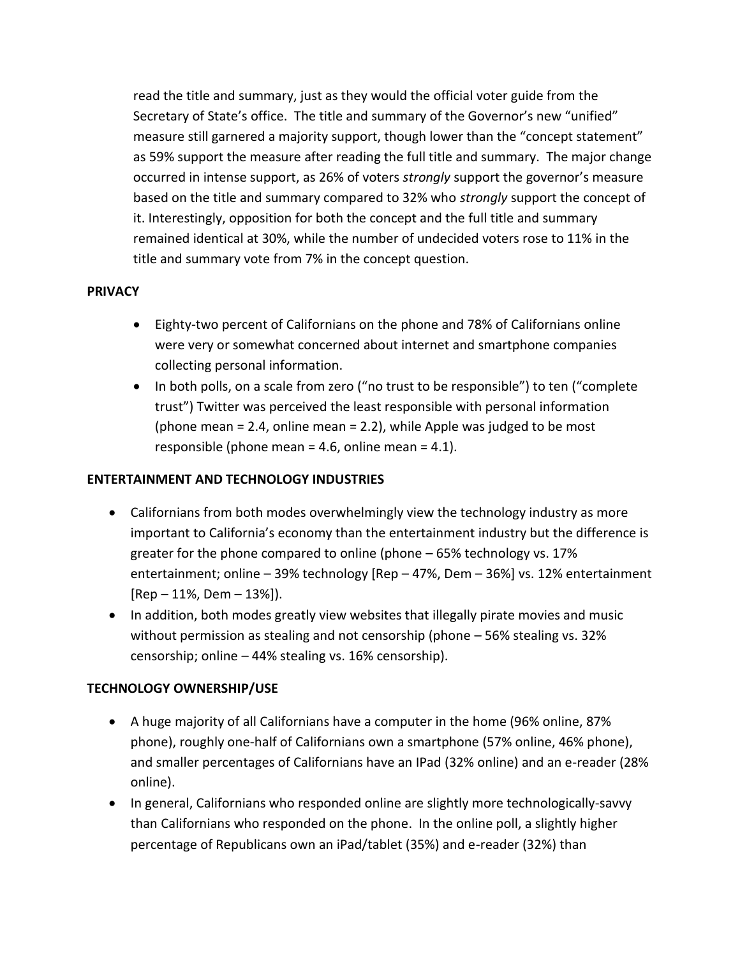read the title and summary, just as they would the official voter guide from the Secretary of State's office. The title and summary of the Governor's new "unified" measure still garnered a majority support, though lower than the "concept statement" as 59% support the measure after reading the full title and summary. The major change occurred in intense support, as 26% of voters *strongly* support the governor's measure based on the title and summary compared to 32% who *strongly* support the concept of it. Interestingly, opposition for both the concept and the full title and summary remained identical at 30%, while the number of undecided voters rose to 11% in the title and summary vote from 7% in the concept question.

#### **PRIVACY**

- Eighty-two percent of Californians on the phone and 78% of Californians online were very or somewhat concerned about internet and smartphone companies collecting personal information.
- In both polls, on a scale from zero ("no trust to be responsible") to ten ("complete" trust") Twitter was perceived the least responsible with personal information (phone mean = 2.4, online mean = 2.2), while Apple was judged to be most responsible (phone mean = 4.6, online mean = 4.1).

#### **ENTERTAINMENT AND TECHNOLOGY INDUSTRIES**

- Californians from both modes overwhelmingly view the technology industry as more important to California's economy than the entertainment industry but the difference is greater for the phone compared to online (phone – 65% technology vs. 17% entertainment; online – 39% technology [Rep – 47%, Dem – 36%] vs. 12% entertainment  $[Rep - 11\%, Dem - 13\%]$ .
- In addition, both modes greatly view websites that illegally pirate movies and music without permission as stealing and not censorship (phone – 56% stealing vs. 32% censorship; online – 44% stealing vs. 16% censorship).

#### **TECHNOLOGY OWNERSHIP/USE**

- A huge majority of all Californians have a computer in the home (96% online, 87% phone), roughly one-half of Californians own a smartphone (57% online, 46% phone), and smaller percentages of Californians have an IPad (32% online) and an e-reader (28% online).
- In general, Californians who responded online are slightly more technologically-savvy than Californians who responded on the phone. In the online poll, a slightly higher percentage of Republicans own an iPad/tablet (35%) and e-reader (32%) than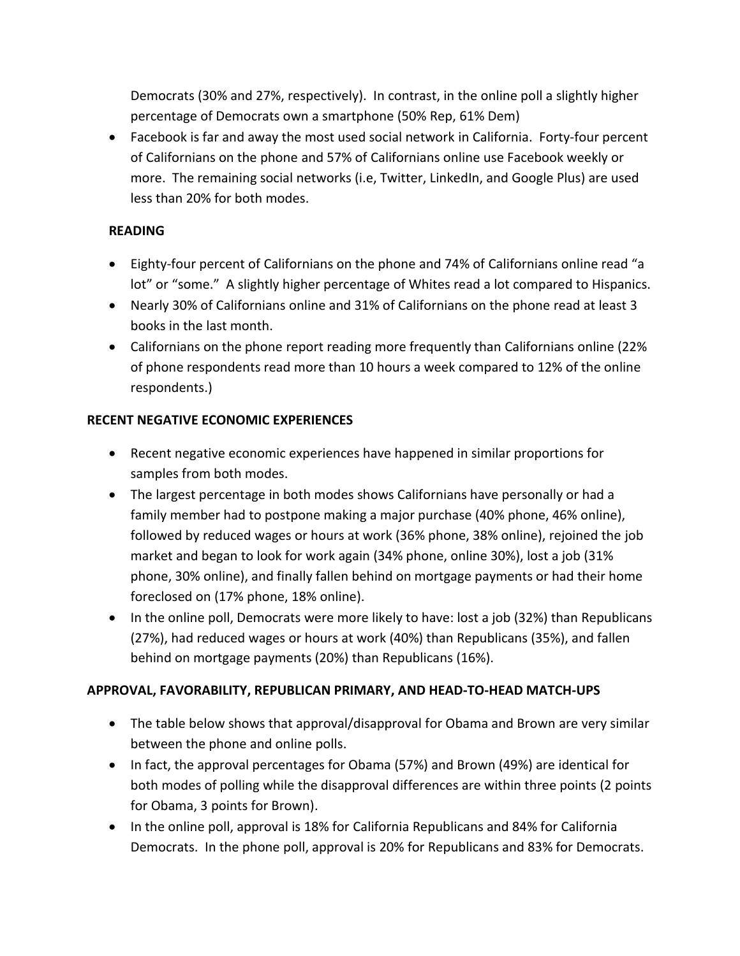Democrats (30% and 27%, respectively). In contrast, in the online poll a slightly higher percentage of Democrats own a smartphone (50% Rep, 61% Dem)

 Facebook is far and away the most used social network in California. Forty-four percent of Californians on the phone and 57% of Californians online use Facebook weekly or more. The remaining social networks (i.e, Twitter, LinkedIn, and Google Plus) are used less than 20% for both modes.

### **READING**

- Eighty-four percent of Californians on the phone and 74% of Californians online read "a lot" or "some." A slightly higher percentage of Whites read a lot compared to Hispanics.
- Nearly 30% of Californians online and 31% of Californians on the phone read at least 3 books in the last month.
- Californians on the phone report reading more frequently than Californians online (22% of phone respondents read more than 10 hours a week compared to 12% of the online respondents.)

# **RECENT NEGATIVE ECONOMIC EXPERIENCES**

- Recent negative economic experiences have happened in similar proportions for samples from both modes.
- The largest percentage in both modes shows Californians have personally or had a family member had to postpone making a major purchase (40% phone, 46% online), followed by reduced wages or hours at work (36% phone, 38% online), rejoined the job market and began to look for work again (34% phone, online 30%), lost a job (31% phone, 30% online), and finally fallen behind on mortgage payments or had their home foreclosed on (17% phone, 18% online).
- In the online poll, Democrats were more likely to have: lost a job (32%) than Republicans (27%), had reduced wages or hours at work (40%) than Republicans (35%), and fallen behind on mortgage payments (20%) than Republicans (16%).

# **APPROVAL, FAVORABILITY, REPUBLICAN PRIMARY, AND HEAD-TO-HEAD MATCH-UPS**

- The table below shows that approval/disapproval for Obama and Brown are very similar between the phone and online polls.
- In fact, the approval percentages for Obama (57%) and Brown (49%) are identical for both modes of polling while the disapproval differences are within three points (2 points for Obama, 3 points for Brown).
- In the online poll, approval is 18% for California Republicans and 84% for California Democrats. In the phone poll, approval is 20% for Republicans and 83% for Democrats.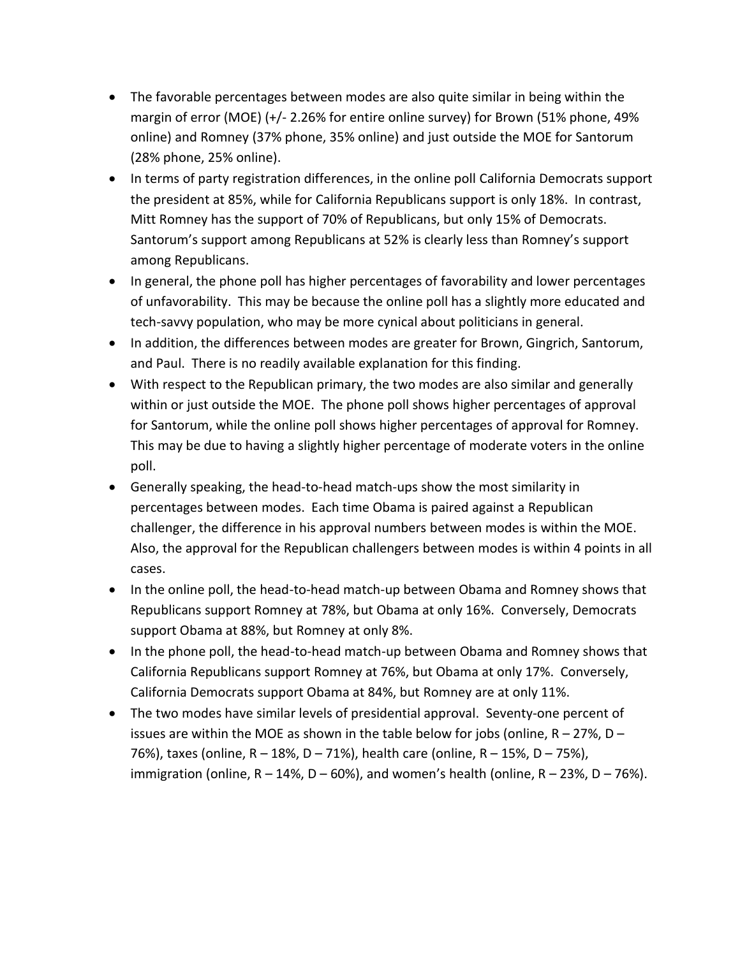- The favorable percentages between modes are also quite similar in being within the margin of error (MOE) (+/- 2.26% for entire online survey) for Brown (51% phone, 49% online) and Romney (37% phone, 35% online) and just outside the MOE for Santorum (28% phone, 25% online).
- In terms of party registration differences, in the online poll California Democrats support the president at 85%, while for California Republicans support is only 18%. In contrast, Mitt Romney has the support of 70% of Republicans, but only 15% of Democrats. Santorum's support among Republicans at 52% is clearly less than Romney's support among Republicans.
- In general, the phone poll has higher percentages of favorability and lower percentages of unfavorability. This may be because the online poll has a slightly more educated and tech-savvy population, who may be more cynical about politicians in general.
- In addition, the differences between modes are greater for Brown, Gingrich, Santorum, and Paul. There is no readily available explanation for this finding.
- With respect to the Republican primary, the two modes are also similar and generally within or just outside the MOE. The phone poll shows higher percentages of approval for Santorum, while the online poll shows higher percentages of approval for Romney. This may be due to having a slightly higher percentage of moderate voters in the online poll.
- Generally speaking, the head-to-head match-ups show the most similarity in percentages between modes. Each time Obama is paired against a Republican challenger, the difference in his approval numbers between modes is within the MOE. Also, the approval for the Republican challengers between modes is within 4 points in all cases.
- In the online poll, the head-to-head match-up between Obama and Romney shows that Republicans support Romney at 78%, but Obama at only 16%. Conversely, Democrats support Obama at 88%, but Romney at only 8%.
- In the phone poll, the head-to-head match-up between Obama and Romney shows that California Republicans support Romney at 76%, but Obama at only 17%. Conversely, California Democrats support Obama at 84%, but Romney are at only 11%.
- The two modes have similar levels of presidential approval. Seventy-one percent of issues are within the MOE as shown in the table below for jobs (online,  $R - 27\%$ , D – 76%), taxes (online, R – 18%, D – 71%), health care (online, R – 15%, D – 75%), immigration (online,  $R - 14\%$ ,  $D - 60\%$ ), and women's health (online,  $R - 23\%$ ,  $D - 76\%$ ).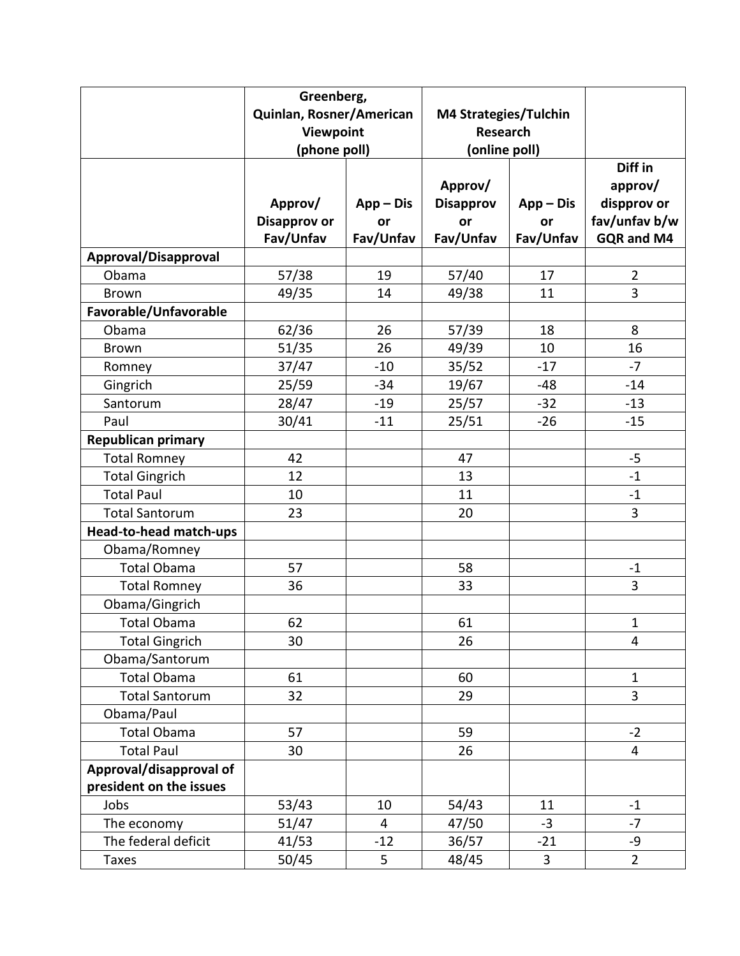|                           | Greenberg,                                            |             |                                                           |             |                |
|---------------------------|-------------------------------------------------------|-------------|-----------------------------------------------------------|-------------|----------------|
|                           | Quinlan, Rosner/American<br>Viewpoint<br>(phone poll) |             | M4 Strategies/Tulchin<br><b>Research</b><br>(online poll) |             |                |
|                           |                                                       |             |                                                           |             |                |
|                           |                                                       |             |                                                           |             |                |
|                           |                                                       |             |                                                           |             | Diff in        |
|                           |                                                       |             | Approv/                                                   |             | approv/        |
|                           | Approv/                                               | $App - Dis$ | <b>Disapprov</b>                                          | $App - Dis$ | dispprov or    |
|                           | <b>Disapprov or</b>                                   | or          | <b>or</b>                                                 | or          | fav/unfav b/w  |
|                           | Fav/Unfav                                             | Fav/Unfav   | Fav/Unfav                                                 | Fav/Unfav   | GQR and M4     |
| Approval/Disapproval      |                                                       |             |                                                           |             |                |
| Obama                     | 57/38                                                 | 19          | 57/40                                                     | 17          | $\overline{2}$ |
| <b>Brown</b>              | 49/35                                                 | 14          | 49/38                                                     | 11          | 3              |
| Favorable/Unfavorable     |                                                       |             |                                                           |             |                |
| Obama                     | 62/36                                                 | 26          | 57/39                                                     | 18          | 8              |
| <b>Brown</b>              | 51/35                                                 | 26          | 49/39                                                     | 10          | 16             |
| Romney                    | 37/47                                                 | $-10$       | 35/52                                                     | $-17$       | $-7$           |
| Gingrich                  | 25/59                                                 | $-34$       | 19/67                                                     | $-48$       | $-14$          |
| Santorum                  | 28/47                                                 | $-19$       | 25/57                                                     | $-32$       | $-13$          |
| Paul                      | 30/41                                                 | $-11$       | 25/51                                                     | $-26$       | $-15$          |
| <b>Republican primary</b> |                                                       |             |                                                           |             |                |
| <b>Total Romney</b>       | 42                                                    |             | 47                                                        |             | $-5$           |
| <b>Total Gingrich</b>     | 12                                                    |             | 13                                                        |             | $-1$           |
| <b>Total Paul</b>         | 10                                                    |             | 11                                                        |             | $\mathbf{-1}$  |
| <b>Total Santorum</b>     | 23                                                    |             | 20                                                        |             | 3              |
| Head-to-head match-ups    |                                                       |             |                                                           |             |                |
| Obama/Romney              |                                                       |             |                                                           |             |                |
| <b>Total Obama</b>        | 57                                                    |             | 58                                                        |             | $-1$           |
| <b>Total Romney</b>       | 36                                                    |             | 33                                                        |             | 3              |
| Obama/Gingrich            |                                                       |             |                                                           |             |                |
| <b>Total Obama</b>        | 62                                                    |             | 61                                                        |             | 1              |
| <b>Total Gingrich</b>     | 30                                                    |             | 26                                                        |             | 4              |
| Obama/Santorum            |                                                       |             |                                                           |             |                |
| Total Obama               | 61                                                    |             | 60                                                        |             | $\mathbf{1}$   |
| <b>Total Santorum</b>     | 32                                                    |             | 29                                                        |             | 3              |
| Obama/Paul                |                                                       |             |                                                           |             |                |
| <b>Total Obama</b>        | 57                                                    |             | 59                                                        |             | $-2$           |
| <b>Total Paul</b>         | 30                                                    |             | 26                                                        |             | 4              |
| Approval/disapproval of   |                                                       |             |                                                           |             |                |
| president on the issues   |                                                       |             |                                                           |             |                |
| Jobs                      | 53/43                                                 | 10          | 54/43                                                     | 11          | $-1$           |
| The economy               | 51/47                                                 | 4           | 47/50                                                     | $-3$        | $-7$           |
| The federal deficit       | 41/53                                                 | $-12$       | 36/57                                                     | $-21$       | -9             |
| <b>Taxes</b>              | 50/45                                                 | 5           | 48/45                                                     | 3           | $\overline{2}$ |